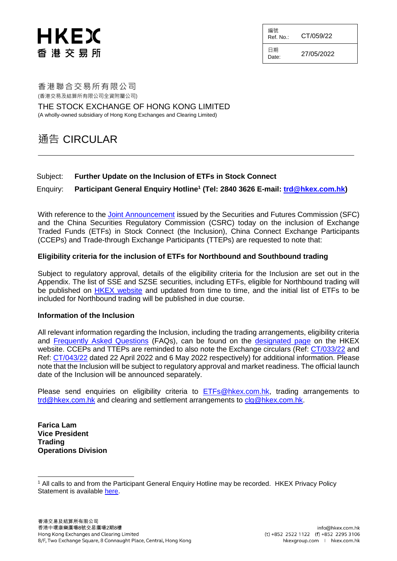# HKEX 香 港 交 易 所

編號 Ref. No.: CT/059/22 日期

 $D_{\text{late}}$  27/05/2022

香港聯合交易所有限公司 (香港交易及結算所有限公司全資附屬公司)

THE STOCK EXCHANGE OF HONG KONG LIMITED (A wholly-owned subsidiary of Hong Kong Exchanges and Clearing Limited)

## 通告 CIRCULAR

#### Subject: **Further Update on the Inclusion of ETFs in Stock Connect**

### Enquiry: **Participant General Enquiry Hotline<sup>1</sup> (Tel: 2840 3626 E-mail: [trd@hkex.com.hk\)](mailto:trd@hkex.com.hk)**

With reference to the [Joint Announcement](https://www.sfc.hk/en/News-and-announcements/Policy-statements-and-announcements/Joint-Announcement-of-the-CSRC-and-the-SFC) issued by the Securities and Futures Commission (SFC) and the China Securities Regulatory Commission (CSRC) today on the inclusion of Exchange Traded Funds (ETFs) in Stock Connect (the Inclusion), China Connect Exchange Participants (CCEPs) and Trade-through Exchange Participants (TTEPs) are requested to note that:

#### **Eligibility criteria for the inclusion of ETFs for Northbound and Southbound trading**

Subject to regulatory approval, details of the eligibility criteria for the Inclusion are set out in the Appendix. The list of SSE and SZSE securities, including ETFs, eligible for Northbound trading will be published on [HKEX website](https://www.hkex.com.hk/Mutual-Market/Stock-Connect/Eligible-Stocks/View-All-Eligible-Securities?sc_lang=en) and updated from time to time, and the initial list of ETFs to be included for Northbound trading will be published in due course.

#### **Information of the Inclusion**

All relevant information regarding the Inclusion, including the trading arrangements, eligibility criteria and [Frequently Asked Questions](https://www.hkex.com.hk/-/media/HKEX-Market/Mutual-Market/Stock-Connect/Reference-Materials/Inclusion-of-ETFs-in-Stock-Connect/Inclusion_of_ETFs_in_Stock_Connect_FAQ_Eng.pdf) (FAQs), can be found on the [designated page](https://www.hkex.com.hk/Mutual-Market/Stock-Connect/Reference-Materials/Inclusion-of-ETFs-in-Stock-Connect?sc_lang=en) on the HKEX website. CCEPs and TTEPs are reminded to also note the Exchange circulars (Ref: [CT/033/22](https://www.hkex.com.hk/-/media/HKEX-Market/Services/Circulars-and-Notices/Participant-and-Members-Circulars/SEHK/2022/CT03322E.pdf?la=en) and Ref: [CT/043/22](https://www.hkex.com.hk/-/media/HKEX-Market/Services/Circulars-and-Notices/Participant-and-Members-Circulars/SEHK/2022/CT04322B.pdf) dated 22 April 2022 and 6 May 2022 respectively) for additional information. Please note that the Inclusion will be subject to regulatory approval and market readiness. The official launch date of the Inclusion will be announced separately.

Please send enquiries on eligibility criteria to [ETFs@hkex.com.hk,](mailto:ETFs@hkex.com.hk) trading arrangements to [trd@hkex.com.hk](mailto:trd@hkex.com.hk) and clearing and settlement arrangements to [clg@hkex.com.hk.](mailto:clg@hkex.com.hk)

**Farica Lam Vice President Trading Operations Division**

l

<sup>1</sup> All calls to and from the Participant General Enquiry Hotline may be recorded. HKEX Privacy Policy Statement is available [here.](https://www.hkex.com.hk/Global/Exchange/Privacy-Policy?sc_lang=en)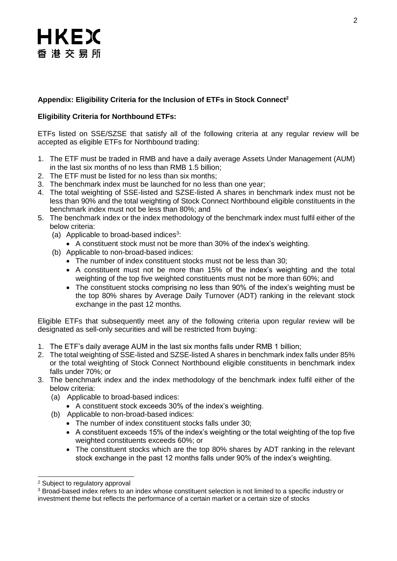# HKEX 香港交易所

### **Appendix: Eligibility Criteria for the Inclusion of ETFs in Stock Connect<sup>2</sup>**

### **Eligibility Criteria for Northbound ETFs:**

ETFs listed on SSE/SZSE that satisfy all of the following criteria at any regular review will be accepted as eligible ETFs for Northbound trading:

- 1. The ETF must be traded in RMB and have a daily average Assets Under Management (AUM) in the last six months of no less than RMB 1.5 billion;
- 2. The ETF must be listed for no less than six months;
- 3. The benchmark index must be launched for no less than one year;
- 4. The total weighting of SSE-listed and SZSE-listed A shares in benchmark index must not be less than 90% and the total weighting of Stock Connect Northbound eligible constituents in the benchmark index must not be less than 80%; and
- 5. The benchmark index or the index methodology of the benchmark index must fulfil either of the below criteria:
	- (a) Applicable to broad-based indices<sup>3</sup>:
	- A constituent stock must not be more than 30% of the index's weighting.
	- (b) Applicable to non-broad-based indices:
		- The number of index constituent stocks must not be less than 30;
		- A constituent must not be more than 15% of the index's weighting and the total weighting of the top five weighted constituents must not be more than 60%; and
		- The constituent stocks comprising no less than 90% of the index's weighting must be the top 80% shares by Average Daily Turnover (ADT) ranking in the relevant stock exchange in the past 12 months.

Eligible ETFs that subsequently meet any of the following criteria upon regular review will be designated as sell-only securities and will be restricted from buying:

- 1. The ETF's daily average AUM in the last six months falls under RMB 1 billion;
- 2. The total weighting of SSE-listed and SZSE-listed A shares in benchmark index falls under 85% or the total weighting of Stock Connect Northbound eligible constituents in benchmark index falls under 70%; or
- 3. The benchmark index and the index methodology of the benchmark index fulfil either of the below criteria:
	- (a) Applicable to broad-based indices:
		- A constituent stock exceeds 30% of the index's weighting.
	- (b) Applicable to non-broad-based indices:
		- The number of index constituent stocks falls under 30;
		- A constituent exceeds 15% of the index's weighting or the total weighting of the top five weighted constituents exceeds 60%; or
		- The constituent stocks which are the top 80% shares by ADT ranking in the relevant stock exchange in the past 12 months falls under 90% of the index's weighting.

l <sup>2</sup> Subject to regulatory approval

<sup>&</sup>lt;sup>3</sup> Broad-based index refers to an index whose constituent selection is not limited to a specific industry or investment theme but reflects the performance of a certain market or a certain size of stocks